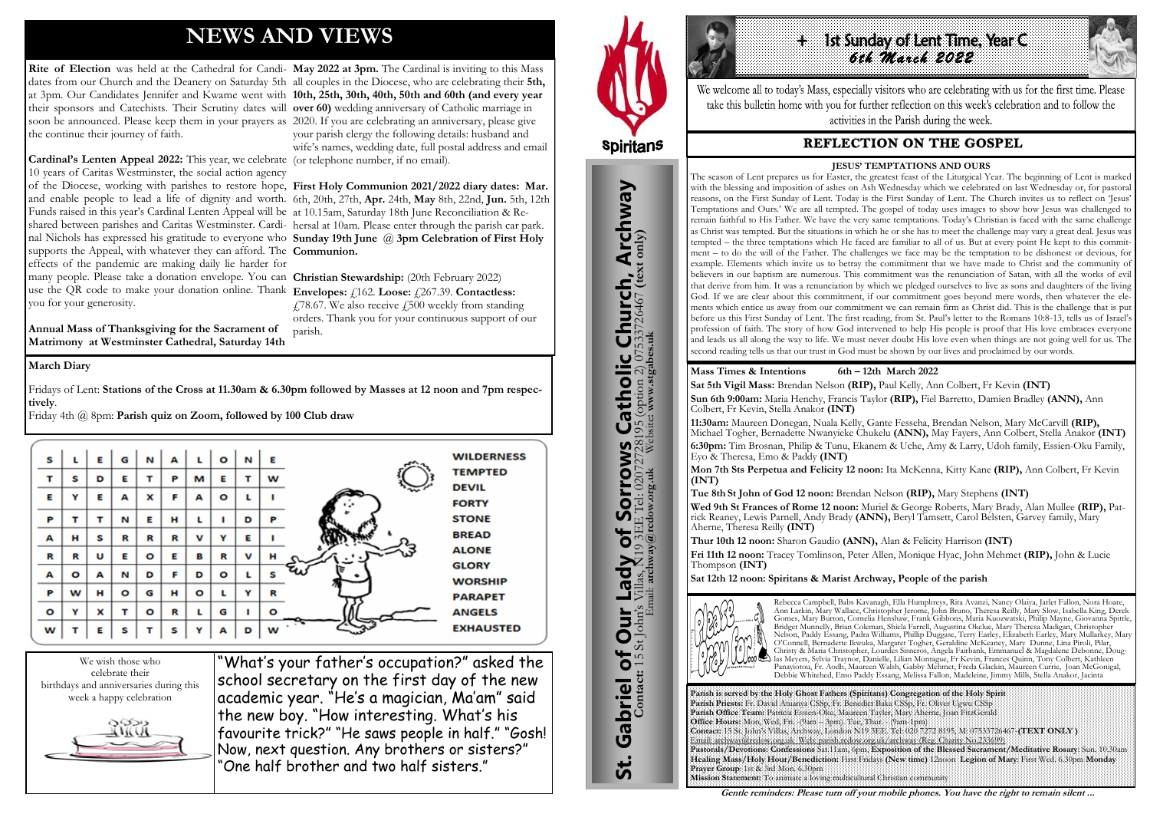# **NEWS AND VIEWS**

many people. Please take a donation envelope. You can **Christian Stewardship:** (20th February 2022) use the QR code to make your donation online. Thank **Envelopes:** £162. Loose: £267.39. Contactless: you for your generosity.  $\angle$  478.67. We also receive  $\angle$  500 weekly from standing

**Cardinal's Lenten Appeal 2022:** This year, we celebrate (or telephone number, if no email). 10 years of Caritas Westminster, the social action agency of the Diocese, working with parishes to restore hope, **First Holy Communion 2021/2022 diary dates: Mar.**  and enable people to lead a life of dignity and worth. 6th, 20th, 27th, **Apr.** 24th, **May** 8th, 22nd, **Jun.** 5th, 12th Funds raised in this year's Cardinal Lenten Appeal will be at 10.15am, Saturday 18th June Reconciliation & Reshared between parishes and Caritas Westminster. Cardi-hersal at 10am. Please enter through the parish car park. nal Nichols has expressed his gratitude to everyone who **Sunday 19th June** @ **3pm Celebration of First Holy**  supports the Appeal, with whatever they can afford. The **Communion.** effects of the pandemic are making daily lie harder for

Rite of Election was held at the Cathedral for Candi- May 2022 at 3pm. The Cardinal is inviting to this Mass dates from our Church and the Deanery on Saturday 5th all couples in the Diocese, who are celebrating their **5th,**  at 3pm. Our Candidates Jennifer and Kwame went with **10th, 25th, 30th, 40th, 50th and 60th (and every year**  their sponsors and Catechists. Their Scrutiny dates will **over 60)** wedding anniversary of Catholic marriage in soon be announced. Please keep them in your prayers as 2020. If you are celebrating an anniversary, please give the continue their journey of faith. your parish clergy the following details: husband and wife's names, wedding date, full postal address and email

**Annual Mass of Thanksgiving for the Sacrament of Matrimony at Westminster Cathedral, Saturday 14th**  orders. Thank you for your continuous support of our parish.

We wish those who celebrate their birthdays and anniversaries during this week a happy celebration



"What's your father's occupation?" asked the school secretary on the first day of the new academic year. "He's a magician, Ma'am" said the new boy. "How interesting. What's his favourite trick?" "He saws people in half." "Gosh! Now, next question. Any brothers or sisters?" "One half brother and two half sisters."



St. Gabriel of Our Lady of Sorrows Catholic Church, Archway

Sorrows

 $\overline{\mathbf{b}}$ 

**Lady** 

**Our** 

Gabriel of Our

<u>უ:</u>

**IS Catholic Church, Archway**<br>28195 (option 2) 07533726467 (text only)<br>Website: www.stgabes.uk

#### **March Diary**

Fridays of Lent: **Stations of the Cross at 11.30am & 6.30pm followed by Masses at 12 noon and 7pm respectively**.

Friday 4th @ 8pm: **Parish quiz on Zoom, followed by 100 Club draw**





We welcome all to today's Mass, especially visitors who are celebrating with us for the first time. Please take this bulletin home with you for further reflection on this week's celebration and to follow the activities in the Parish during the week.

# **REFLECTION ON THE GOSPEL**

**Parish is served by the Holy Ghost Fathers (Spiritans) Congregation of the Holy Spirit Parish Priests:** Fr. David Atuanya CSSp, Fr. Benedict Baka CSSp, Fr. Oliver Ugwu CSSp **Parish Office Team:** Patricia Essien-Oku, Maureen Tayler, Mary Aherne, Joan FitzGerald **Office Hours:** Mon, Wed, Fri. -(9am – 3pm). Tue, Thur. - (9am-1pm) **Contact:** 15 St. John's Villas, Archway, London N19 3EE. Tel: 020 7272 8195, M: 07533726467-**(TEXT ONLY )** Email: archway@rcdow.org.uk Web: parish.rcdow.org.uk/archway (Reg. Charity No.233699) **Pastorals/Devotions: Confessions** Sat.11am, 6pm, **Exposition of the Blessed Sacrament/Meditative Rosary**: Sun. 10.30am **Healing Mass/Holy Hour/Benediction:** First Fridays **(New time)** 12noon **Legion of Mary**: First Wed. 6.30pm **Monday Prayer Group**: 1st & 3rd Mon. 6.30pm **Mission Statement:** To animate a loving multicultural Christian community

**Contact:** 15 St John's Villas, N19 3EE Tel: 02072728195 (option 2) 07533726467 **(text only)** Email: **archway@rcdow.org.uk** Website**: www.stgabes.uk**

i's Villas, K19 3EE Tel: 0207<br>Email: **archway@redow.org.uk** 

 $\mathbb{Z}$ 

#### **Mass Times & Intentions 6th – 12th March 2022**

**Sat 5th Vigil Mass:** Brendan Nelson **(RIP),** Paul Kelly, Ann Colbert, Fr Kevin **(INT) Sun 6th 9:00am:** Maria Henchy, Francis Taylor **(RIP),** Fiel Barretto, Damien Bradley **(ANN),** Ann Colbert, Fr Kevin, Stella Anakor **(INT)**

**11:30am:** Maureen Donegan, Nuala Kelly, Gante Fesseha, Brendan Nelson, Mary McCarvill **(RIP),**  Michael Togher, Bernadette Nwanyieke Chukelu **(ANN),** May Fayers, Ann Colbert, Stella Anakor **(INT) 6:30pm:** Tim Brosnan, Philip & Tunu, Ekanem & Uche, Amy & Larry, Udoh family, Essien-Oku Family,

Eyo & Theresa, Emo & Paddy **(INT)**

**Mon 7th Sts Perpetua and Felicity 12 noon:** Ita McKenna, Kitty Kane **(RIP),** Ann Colbert, Fr Kevin **(INT)**

**Tue 8th St John of God 12 noon:** Brendan Nelson **(RIP),** Mary Stephens **(INT)**

**Wed 9th St Frances of Rome 12 noon:** Muriel & George Roberts, Mary Brady, Alan Mullee **(RIP),** Patrick Reaney, Lewis Parnell, Andy Brady **(ANN),** Beryl Tamsett, Carol Belsten, Garvey family, Mary Aherne, Theresa Reilly **(INT)** 

**Thur 10th 12 noon:** Sharon Gaudio **(ANN),** Alan & Felicity Harrison **(INT)** 

- 
- **Fri 11th 12 noon:** Tracey Tomlinson, Peter Allen, Monique Hyac, John Mehmet **(RIP),** John & Lucie

Thompson **(INT)**

**Sat 12th 12 noon: Spiritans & Marist Archway, People of the parish**



Rebecca Campbell, Babs Kavanagh, Ella Humphreys, Rita Avanzi, Nancy Olaiya, Jarlet Fallon, Nora Hoare, Ann Larkin, Mary Wallace, Christopher Jerome, John Bruno, Theresa Reilly, Mary Slow, Isabella King, Derek Gomes, Mary Burton, Cornelia Henshaw, Frank Gibbons, Maria Kuozwatski, Philip Mayne, Giovanna Spittle, Bridget Munnelly, Brian Coleman, Shiela Farrell, Augustina Okelue, Mary Theresa Madigan, Christopher Nelson, Paddy Essang, Padra Williams, Phillip Duggase, Terry Earley, Elizabeth Earley, Mary Mullarkey, Mary O'Connell, Bernadette Ikwuka, Margaret Togher, Geraldine McKeaney, Mary Dunne, Lina Piroli, Pilar, Christy & Maria Christopher, Lourdes Sisneros, Angela Fairbank, Emmanuel & Magdalene Debonne, Douglas Meyers, Sylvia Traynor, Danielle, Lilian Montague, Fr Kevin, Frances Quinn, Tony Colbert, Kathleen Panayiotou, Fr. Aodh, Maureen Walsh, Gabby Mehmet, Freda Glackin, Maureen Currie, Joan McGonigal, Debbie Whitehed, Emo Paddy Essang, Melissa Fallon, Madeleine, Jimmy Mills, Stella Anakor, Jacinta

**Gentle reminders: Please turn off your mobile phones. You have the right to remain silent ...** 

#### **JESUS' TEMPTATIONS AND OURS**

The season of Lent prepares us for Easter, the greatest feast of the Liturgical Year. The beginning of Lent is marked with the blessing and imposition of ashes on Ash Wednesday which we celebrated on last Wednesday or, for pastoral reasons, on the First Sunday of Lent. Today is the First Sunday of Lent. The Church invites us to reflect on 'Jesus' Temptations and Ours.' We are all tempted. The gospel of today uses images to show how Jesus was challenged to remain faithful to His Father. We have the very same temptations. Today's Christian is faced with the same challenge as Christ was tempted. But the situations in which he or she has to meet the challenge may vary a great deal. Jesus was tempted – the three temptations which He faced are familiar to all of us. But at every point He kept to this commitment – to do the will of the Father. The challenges we face may be the temptation to be dishonest or devious, for example. Elements which invite us to betray the commitment that we have made to Christ and the community of believers in our baptism are numerous. This commitment was the renunciation of Satan, with all the works of evil that derive from him. It was a renunciation by which we pledged ourselves to live as sons and daughters of the living God. If we are clear about this commitment, if our commitment goes beyond mere words, then whatever the elements which entice us away from our commitment we can remain firm as Christ did. This is the challenge that is put before us this First Sunday of Lent. The first reading, from St. Paul's letter to the Romans 10:8-13, tells us of Israel's profession of faith. The story of how God intervened to help His people is proof that His love embraces everyone and leads us all along the way to life. We must never doubt His love even when things are not going well for us. The second reading tells us that our trust in God must be shown by our lives and proclaimed by our words.